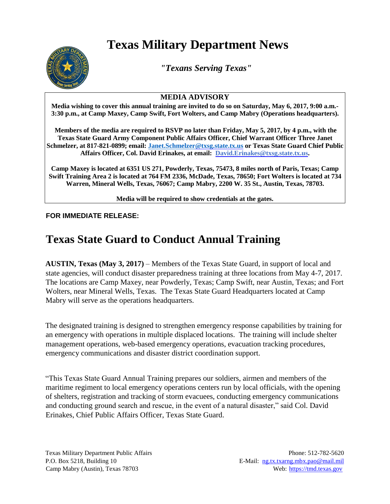## **Texas Military Department News**



*"Texans Serving Texas"*

## **MEDIA ADVISORY**

**Media wishing to cover this annual training are invited to do so on Saturday, May 6, 2017, 9:00 a.m.- 3:30 p.m., at Camp Maxey, Camp Swift, Fort Wolters, and Camp Mabry (Operations headquarters).** 

**Members of the media are required to RSVP no later than Friday, May 5, 2017, by 4 p.m., with the Texas State Guard Army Component Public Affairs Officer, Chief Warrant Officer Three Janet Schmelzer, at 817-821-0899; email[: Janet.Schmelzer@txsg.state.tx.us](mailto:Janet.Schmelzer@txsg.state.tx.us) or Texas State Guard Chief Public Affairs Officer, Col. David Erinakes, at email: David.Erinakes@txsg.state.tx.us.** 

**Camp Maxey is located at 6351 US 271, Powderly, Texas, 75473, 8 miles north of Paris, Texas; Camp Swift Training Area 2 is located at 764 FM 2336, McDade, Texas, 78650; Fort Wolters is located at 734 Warren, Mineral Wells, Texas, 76067; Camp Mabry, 2200 W. 35 St., Austin, Texas, 78703.**

**Media will be required to show credentials at the gates.**

## **FOR IMMEDIATE RELEASE:**

## **Texas State Guard to Conduct Annual Training**

**AUSTIN, Texas (May 3, 2017)** – Members of the Texas State Guard, in support of local and state agencies, will conduct disaster preparedness training at three locations from May 4-7, 2017. The locations are Camp Maxey, near Powderly, Texas; Camp Swift, near Austin, Texas; and Fort Wolters, near Mineral Wells, Texas. The Texas State Guard Headquarters located at Camp Mabry will serve as the operations headquarters.

The designated training is designed to strengthen emergency response capabilities by training for an emergency with operations in multiple displaced locations. The training will include shelter management operations, web-based emergency operations, evacuation tracking procedures, emergency communications and disaster district coordination support.

"This Texas State Guard Annual Training prepares our soldiers, airmen and members of the maritime regiment to local emergency operations centers run by local officials, with the opening of shelters, registration and tracking of storm evacuees, conducting emergency communications and conducting ground search and rescue, in the event of a natural disaster," said Col. David Erinakes, Chief Public Affairs Officer, Texas State Guard.